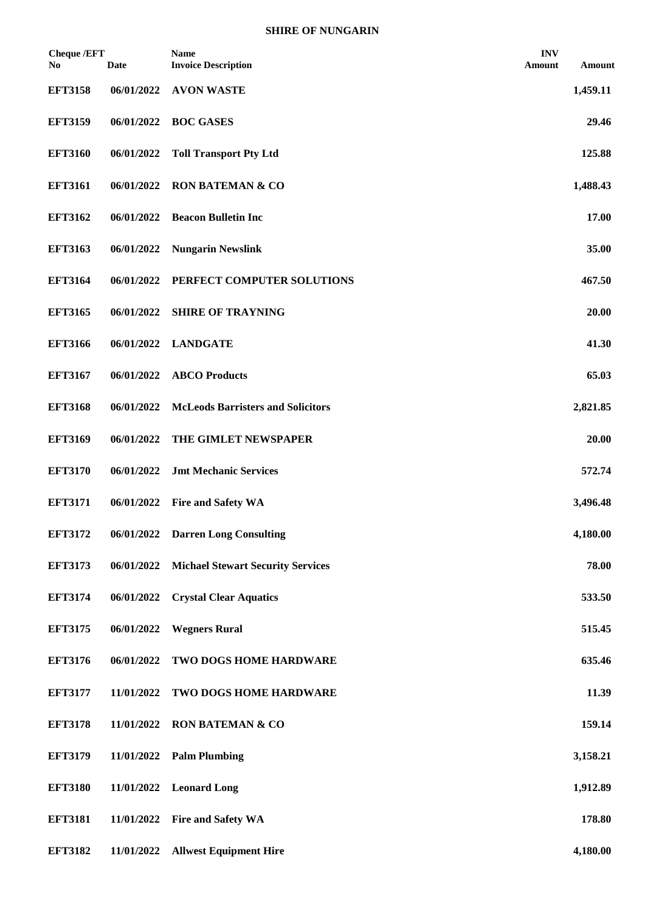| <b>Cheque /EFT</b><br>N <sub>0</sub> | <b>Date</b> | <b>Name</b><br><b>Invoice Description</b> | <b>INV</b><br><b>Amount</b> | Amount   |
|--------------------------------------|-------------|-------------------------------------------|-----------------------------|----------|
| <b>EFT3158</b>                       | 06/01/2022  | <b>AVON WASTE</b>                         |                             | 1,459.11 |
| <b>EFT3159</b>                       | 06/01/2022  | <b>BOC GASES</b>                          |                             | 29.46    |
| <b>EFT3160</b>                       | 06/01/2022  | <b>Toll Transport Pty Ltd</b>             |                             | 125.88   |
| <b>EFT3161</b>                       | 06/01/2022  | <b>RON BATEMAN &amp; CO</b>               |                             | 1,488.43 |
| <b>EFT3162</b>                       | 06/01/2022  | <b>Beacon Bulletin Inc</b>                |                             | 17.00    |
| <b>EFT3163</b>                       | 06/01/2022  | <b>Nungarin Newslink</b>                  |                             | 35.00    |
| <b>EFT3164</b>                       | 06/01/2022  | PERFECT COMPUTER SOLUTIONS                |                             | 467.50   |
| <b>EFT3165</b>                       | 06/01/2022  | <b>SHIRE OF TRAYNING</b>                  |                             | 20.00    |
| <b>EFT3166</b>                       | 06/01/2022  | <b>LANDGATE</b>                           |                             | 41.30    |
| <b>EFT3167</b>                       | 06/01/2022  | <b>ABCO Products</b>                      |                             | 65.03    |
| <b>EFT3168</b>                       | 06/01/2022  | <b>McLeods Barristers and Solicitors</b>  |                             | 2,821.85 |
| <b>EFT3169</b>                       | 06/01/2022  | THE GIMLET NEWSPAPER                      |                             | 20.00    |
| <b>EFT3170</b>                       | 06/01/2022  | <b>Jmt Mechanic Services</b>              |                             | 572.74   |
| <b>EFT3171</b>                       | 06/01/2022  | <b>Fire and Safety WA</b>                 |                             | 3,496.48 |
| <b>EFT3172</b>                       | 06/01/2022  | <b>Darren Long Consulting</b>             |                             | 4,180.00 |
| <b>EFT3173</b>                       | 06/01/2022  | <b>Michael Stewart Security Services</b>  |                             | 78.00    |
| <b>EFT3174</b>                       | 06/01/2022  | <b>Crystal Clear Aquatics</b>             |                             | 533.50   |
| <b>EFT3175</b>                       | 06/01/2022  | <b>Wegners Rural</b>                      |                             | 515.45   |
| <b>EFT3176</b>                       | 06/01/2022  | TWO DOGS HOME HARDWARE                    |                             | 635.46   |
| <b>EFT3177</b>                       | 11/01/2022  | TWO DOGS HOME HARDWARE                    |                             | 11.39    |
| <b>EFT3178</b>                       | 11/01/2022  | <b>RON BATEMAN &amp; CO</b>               |                             | 159.14   |
| <b>EFT3179</b>                       | 11/01/2022  | <b>Palm Plumbing</b>                      |                             | 3,158.21 |
| <b>EFT3180</b>                       | 11/01/2022  | <b>Leonard Long</b>                       |                             | 1,912.89 |
| <b>EFT3181</b>                       | 11/01/2022  | <b>Fire and Safety WA</b>                 |                             | 178.80   |
| <b>EFT3182</b>                       | 11/01/2022  | <b>Allwest Equipment Hire</b>             |                             | 4,180.00 |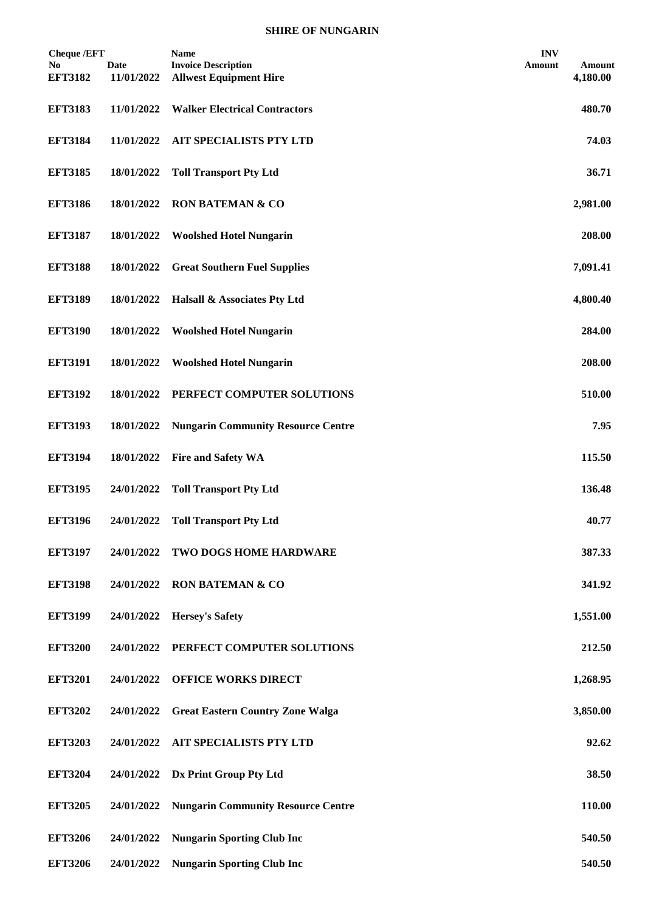| <b>Cheque /EFT</b><br>No.<br><b>EFT3182</b> | <b>Date</b><br>11/01/2022 | Name<br><b>Invoice Description</b><br><b>Allwest Equipment Hire</b> | <b>INV</b><br>Amount | Amount<br>4,180.00 |
|---------------------------------------------|---------------------------|---------------------------------------------------------------------|----------------------|--------------------|
| <b>EFT3183</b>                              | 11/01/2022                | <b>Walker Electrical Contractors</b>                                |                      | 480.70             |
| <b>EFT3184</b>                              | 11/01/2022                | <b>AIT SPECIALISTS PTY LTD</b>                                      |                      | 74.03              |
| <b>EFT3185</b>                              | 18/01/2022                | <b>Toll Transport Pty Ltd</b>                                       |                      | 36.71              |
| <b>EFT3186</b>                              | 18/01/2022                | <b>RON BATEMAN &amp; CO</b>                                         |                      | 2,981.00           |
| <b>EFT3187</b>                              | 18/01/2022                | <b>Woolshed Hotel Nungarin</b>                                      |                      | 208.00             |
| <b>EFT3188</b>                              | 18/01/2022                | <b>Great Southern Fuel Supplies</b>                                 |                      | 7,091.41           |
| <b>EFT3189</b>                              | 18/01/2022                | Halsall & Associates Pty Ltd                                        |                      | 4,800.40           |
| <b>EFT3190</b>                              | 18/01/2022                | <b>Woolshed Hotel Nungarin</b>                                      |                      | 284.00             |
| <b>EFT3191</b>                              | 18/01/2022                | <b>Woolshed Hotel Nungarin</b>                                      |                      | 208.00             |
| <b>EFT3192</b>                              | 18/01/2022                | PERFECT COMPUTER SOLUTIONS                                          |                      | 510.00             |
| <b>EFT3193</b>                              | 18/01/2022                | <b>Nungarin Community Resource Centre</b>                           |                      | 7.95               |
| <b>EFT3194</b>                              | 18/01/2022                | <b>Fire and Safety WA</b>                                           |                      | 115.50             |
| <b>EFT3195</b>                              | 24/01/2022                | <b>Toll Transport Pty Ltd</b>                                       |                      | 136.48             |
| <b>EFT3196</b>                              | 24/01/2022                | <b>Toll Transport Pty Ltd</b>                                       |                      | 40.77              |
| <b>EFT3197</b>                              | 24/01/2022                | <b>TWO DOGS HOME HARDWARE</b>                                       |                      | 387.33             |
| <b>EFT3198</b>                              | 24/01/2022                | <b>RON BATEMAN &amp; CO</b>                                         |                      | 341.92             |
| <b>EFT3199</b>                              | 24/01/2022                | <b>Hersey's Safety</b>                                              |                      | 1,551.00           |
| <b>EFT3200</b>                              | 24/01/2022                | PERFECT COMPUTER SOLUTIONS                                          |                      | 212.50             |
| <b>EFT3201</b>                              | 24/01/2022                | <b>OFFICE WORKS DIRECT</b>                                          |                      | 1,268.95           |
| <b>EFT3202</b>                              | 24/01/2022                | <b>Great Eastern Country Zone Walga</b>                             |                      | 3,850.00           |
| <b>EFT3203</b>                              | 24/01/2022                | <b>AIT SPECIALISTS PTY LTD</b>                                      |                      | 92.62              |
| <b>EFT3204</b>                              | 24/01/2022                | Dx Print Group Pty Ltd                                              |                      | 38.50              |
| <b>EFT3205</b>                              | 24/01/2022                | <b>Nungarin Community Resource Centre</b>                           |                      | 110.00             |
| <b>EFT3206</b>                              | 24/01/2022                | <b>Nungarin Sporting Club Inc</b>                                   |                      | 540.50             |
| <b>EFT3206</b>                              | 24/01/2022                | <b>Nungarin Sporting Club Inc</b>                                   |                      | 540.50             |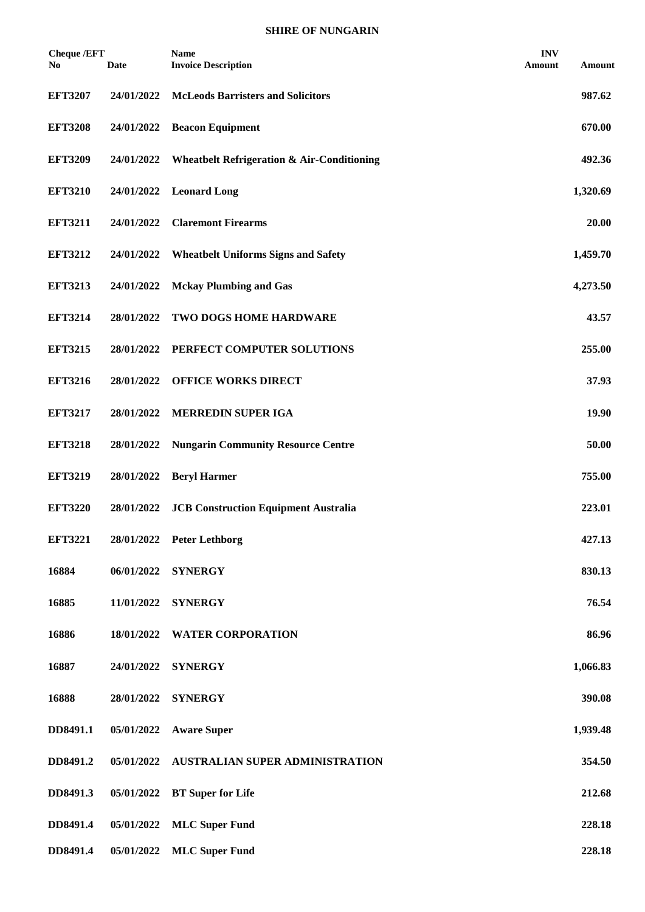| <b>Cheque /EFT</b><br>No | Date       | <b>Name</b><br><b>Invoice Description</b>             | <b>INV</b><br>Amount | Amount   |
|--------------------------|------------|-------------------------------------------------------|----------------------|----------|
| <b>EFT3207</b>           | 24/01/2022 | <b>McLeods Barristers and Solicitors</b>              |                      | 987.62   |
| <b>EFT3208</b>           | 24/01/2022 | <b>Beacon Equipment</b>                               |                      | 670.00   |
| <b>EFT3209</b>           | 24/01/2022 | <b>Wheatbelt Refrigeration &amp; Air-Conditioning</b> |                      | 492.36   |
| <b>EFT3210</b>           | 24/01/2022 | <b>Leonard Long</b>                                   |                      | 1,320.69 |
| <b>EFT3211</b>           | 24/01/2022 | <b>Claremont Firearms</b>                             |                      | 20.00    |
| <b>EFT3212</b>           | 24/01/2022 | <b>Wheatbelt Uniforms Signs and Safety</b>            |                      | 1,459.70 |
| <b>EFT3213</b>           | 24/01/2022 | <b>Mckay Plumbing and Gas</b>                         |                      | 4,273.50 |
| <b>EFT3214</b>           | 28/01/2022 | TWO DOGS HOME HARDWARE                                |                      | 43.57    |
| <b>EFT3215</b>           | 28/01/2022 | PERFECT COMPUTER SOLUTIONS                            |                      | 255.00   |
| <b>EFT3216</b>           | 28/01/2022 | <b>OFFICE WORKS DIRECT</b>                            |                      | 37.93    |
| <b>EFT3217</b>           | 28/01/2022 | <b>MERREDIN SUPER IGA</b>                             |                      | 19.90    |
| <b>EFT3218</b>           | 28/01/2022 | <b>Nungarin Community Resource Centre</b>             |                      | 50.00    |
| <b>EFT3219</b>           | 28/01/2022 | <b>Beryl Harmer</b>                                   |                      | 755.00   |
| <b>EFT3220</b>           | 28/01/2022 | <b>JCB Construction Equipment Australia</b>           |                      | 223.01   |
| <b>EFT3221</b>           | 28/01/2022 | <b>Peter Lethborg</b>                                 |                      | 427.13   |
| 16884                    | 06/01/2022 | <b>SYNERGY</b>                                        |                      | 830.13   |
| 16885                    | 11/01/2022 | <b>SYNERGY</b>                                        |                      | 76.54    |
| 16886                    | 18/01/2022 | <b>WATER CORPORATION</b>                              |                      | 86.96    |
| 16887                    | 24/01/2022 | <b>SYNERGY</b>                                        |                      | 1,066.83 |
| 16888                    | 28/01/2022 | <b>SYNERGY</b>                                        |                      | 390.08   |
| DD8491.1                 | 05/01/2022 | <b>Aware Super</b>                                    |                      | 1,939.48 |
| DD8491.2                 | 05/01/2022 | AUSTRALIAN SUPER ADMINISTRATION                       |                      | 354.50   |
| DD8491.3                 | 05/01/2022 | <b>BT</b> Super for Life                              |                      | 212.68   |
| DD8491.4                 | 05/01/2022 | <b>MLC</b> Super Fund                                 |                      | 228.18   |
| DD8491.4                 | 05/01/2022 | <b>MLC</b> Super Fund                                 |                      | 228.18   |